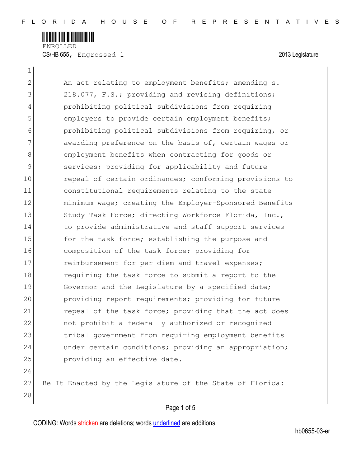

ENROLLED CS/HB 655, Engrossed 1 2013 Legislature

 $\mathbf{1}$ 

2 An act relating to employment benefits; amending s. 3 218.077, F.S.; providing and revising definitions; 4 prohibiting political subdivisions from requiring 5 employers to provide certain employment benefits; 6 prohibiting political subdivisions from requiring, or 7 awarding preference on the basis of, certain wages or 8 employment benefits when contracting for goods or 9 services; providing for applicability and future 10 repeal of certain ordinances; conforming provisions to 11 constitutional requirements relating to the state 12 minimum wage; creating the Employer-Sponsored Benefits 13 Study Task Force; directing Workforce Florida, Inc., 14 to provide administrative and staff support services 15 for the task force; establishing the purpose and 16 composition of the task force; providing for 17 **reimbursement for per diem and travel expenses;** 18 requiring the task force to submit a report to the 19 Governor and the Legislature by a specified date; 20 providing report requirements; providing for future 21 repeal of the task force; providing that the act does 22 not prohibit a federally authorized or recognized 23 tribal government from requiring employment benefits 24 and under certain conditions; providing an appropriation; 25 **providing an effective date.** 26 27 Be It Enacted by the Legislature of the State of Florida:

## Page 1 of 5

CODING: Words stricken are deletions; words underlined are additions.

28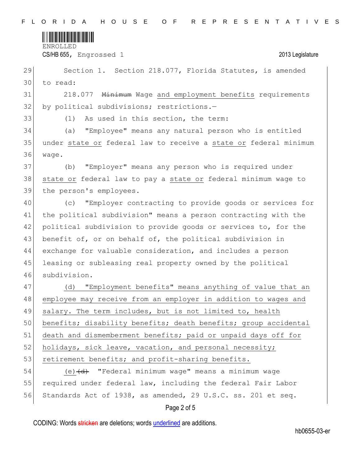

ENROLLED

CS/HB 655, Engrossed 1 2013 Legislature

29 Section 1. Section 218.077, Florida Statutes, is amended 30 to read:

31 218.077 Minimum Wage and employment benefits requirements 32 by political subdivisions; restrictions.-

33 (1) As used in this section, the term:

34 (a) "Employee" means any natural person who is entitled 35 under state or federal law to receive a state or federal minimum 36 wage.

37 (b) "Employer" means any person who is required under 38 state or federal law to pay a state or federal minimum wage to 39 the person's employees.

 (c) "Employer contracting to provide goods or services for the political subdivision" means a person contracting with the 42 political subdivision to provide goods or services to, for the 43 benefit of, or on behalf of, the political subdivision in exchange for valuable consideration, and includes a person leasing or subleasing real property owned by the political subdivision.

47 (d) "Employment benefits" means anything of value that an 48 employee may receive from an employer in addition to wages and 49 salary. The term includes, but is not limited to, health 50 benefits; disability benefits; death benefits; group accidental 51 death and dismemberment benefits; paid or unpaid days off for 52 holidays, sick leave, vacation, and personal necessity; 53 retirement benefits; and profit-sharing benefits. 54 (e) <del>(d)</del> "Federal minimum waqe" means a minimum waqe

55 required under federal law, including the federal Fair Labor 56 Standards Act of 1938, as amended, 29 U.S.C. ss. 201 et seq.

## Page 2 of 5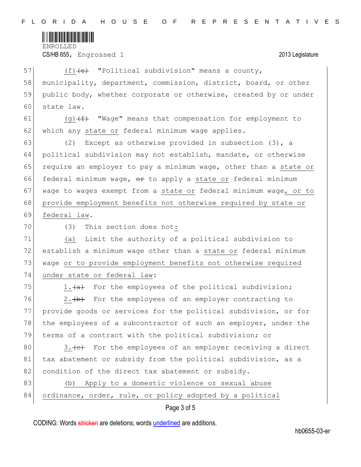

ENROLLED

CS/HB 655, Engrossed 1 2013 Legislature

| 57 | $(f)$ (e) "Political subdivision" means a county,                   |
|----|---------------------------------------------------------------------|
| 58 | municipality, department, commission, district, board, or other     |
| 59 | public body, whether corporate or otherwise, created by or under    |
| 60 | state law.                                                          |
| 61 | (g) $\overline{f}$ "Wage" means that compensation for employment to |
| 62 | which any state or federal minimum wage applies.                    |
| 63 | Except as otherwise provided in subsection $(3)$ , a<br>(2)         |
| 64 | political subdivision may not establish, mandate, or otherwise      |
| 65 | require an employer to pay a minimum wage, other than a state or    |
| 66 | federal minimum wage, or to apply a state or federal minimum        |
| 67 | wage to wages exempt from a state or federal minimum wage, or to    |
| 68 | provide employment benefits not otherwise required by state or      |
| 69 | federal law.                                                        |
| 70 | This section does not:<br>(3)                                       |
| 71 | Limit the authority of a political subdivision to<br>(a)            |
| 72 | establish a minimum wage other than a state or federal minimum      |
| 73 | wage or to provide employment benefits not otherwise required       |
| 74 | under state or federal law:                                         |
| 75 | 1. (a) For the employees of the political subdivision;              |
| 76 | 2. (b) For the employees of an employer contracting to              |
| 77 | provide goods or services for the political subdivision, or for     |
| 78 | the employees of a subcontractor of such an employer, under the     |
| 79 | terms of a contract with the political subdivision; or              |
| 80 | 3. (e) For the employees of an employer receiving a direct          |
| 81 | tax abatement or subsidy from the political subdivision, as a       |
| 82 | condition of the direct tax abatement or subsidy.                   |
| 83 | Apply to a domestic violence or sexual abuse<br>(b)                 |
| 84 | ordinance, order, rule, or policy adopted by a political            |
|    | Page 3 of 5                                                         |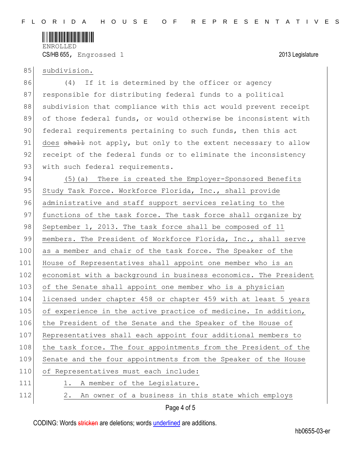

CS/HB 655, Engrossed 1 2013 Legislature

## 85 subdivision.

86 (4) If it is determined by the officer or agency 87 responsible for distributing federal funds to a political 88 subdivision that compliance with this act would prevent receipt 89 of those federal funds, or would otherwise be inconsistent with 90 federal requirements pertaining to such funds, then this act 91 does shall not apply, but only to the extent necessary to allow 92 receipt of the federal funds or to eliminate the inconsistency 93 with such federal requirements.

94 (5)(a) There is created the Employer-Sponsored Benefits 95 Study Task Force. Workforce Florida, Inc., shall provide 96 administrative and staff support services relating to the 97 functions of the task force. The task force shall organize by 98 September 1, 2013. The task force shall be composed of 11 99 members. The President of Workforce Florida, Inc., shall serve 100 as a member and chair of the task force. The Speaker of the 101 House of Representatives shall appoint one member who is an 102 economist with a background in business economics. The President 103 of the Senate shall appoint one member who is a physician 104 licensed under chapter 458 or chapter 459 with at least 5 years 105 of experience in the active practice of medicine. In addition, 106 the President of the Senate and the Speaker of the House of 107 Representatives shall each appoint four additional members to 108 the task force. The four appointments from the President of the 109 Senate and the four appointments from the Speaker of the House 110 of Representatives must each include: 111 1. A member of the Legislature. 112 2. An owner of a business in this state which employs